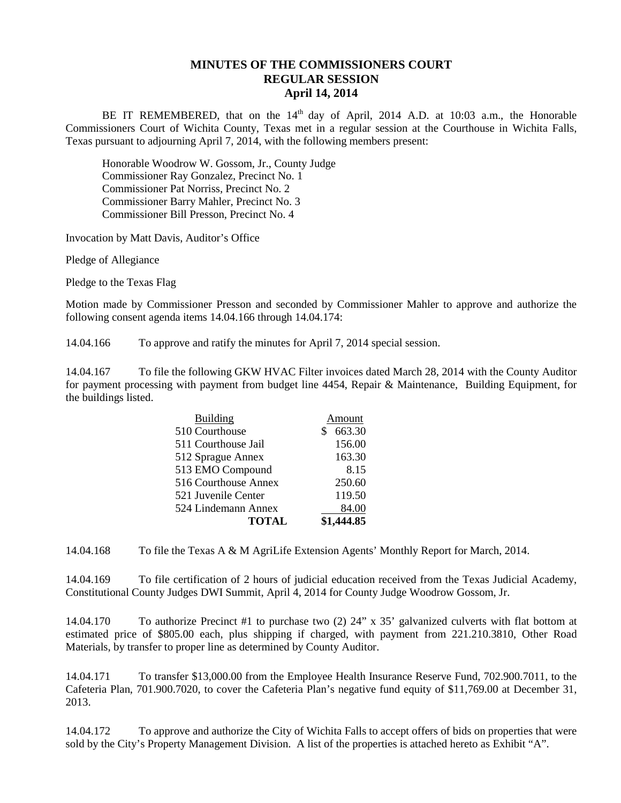## **MINUTES OF THE COMMISSIONERS COURT REGULAR SESSION April 14, 2014**

BE IT REMEMBERED, that on the  $14<sup>th</sup>$  day of April, 2014 A.D. at 10:03 a.m., the Honorable Commissioners Court of Wichita County, Texas met in a regular session at the Courthouse in Wichita Falls, Texas pursuant to adjourning April 7, 2014, with the following members present:

Honorable Woodrow W. Gossom, Jr., County Judge Commissioner Ray Gonzalez, Precinct No. 1 Commissioner Pat Norriss, Precinct No. 2 Commissioner Barry Mahler, Precinct No. 3 Commissioner Bill Presson, Precinct No. 4

Invocation by Matt Davis, Auditor's Office

Pledge of Allegiance

Pledge to the Texas Flag

Motion made by Commissioner Presson and seconded by Commissioner Mahler to approve and authorize the following consent agenda items 14.04.166 through 14.04.174:

14.04.166 To approve and ratify the minutes for April 7, 2014 special session.

14.04.167 To file the following GKW HVAC Filter invoices dated March 28, 2014 with the County Auditor for payment processing with payment from budget line 4454, Repair & Maintenance, Building Equipment, for the buildings listed.

| <b>Building</b>      | Amount      |
|----------------------|-------------|
| 510 Courthouse       | 663.30<br>S |
| 511 Courthouse Jail  | 156.00      |
| 512 Sprague Annex    | 163.30      |
| 513 EMO Compound     | 8.15        |
| 516 Courthouse Annex | 250.60      |
| 521 Juvenile Center  | 119.50      |
| 524 Lindemann Annex  | 84.00       |
| <b>TOTAL</b>         | \$1,444.85  |

14.04.168 To file the Texas A & M AgriLife Extension Agents' Monthly Report for March, 2014.

14.04.169 To file certification of 2 hours of judicial education received from the Texas Judicial Academy, Constitutional County Judges DWI Summit, April 4, 2014 for County Judge Woodrow Gossom, Jr.

14.04.170 To authorize Precinct #1 to purchase two (2) 24" x 35' galvanized culverts with flat bottom at estimated price of \$805.00 each, plus shipping if charged, with payment from 221.210.3810, Other Road Materials, by transfer to proper line as determined by County Auditor.

14.04.171 To transfer \$13,000.00 from the Employee Health Insurance Reserve Fund, 702.900.7011, to the Cafeteria Plan, 701.900.7020, to cover the Cafeteria Plan's negative fund equity of \$11,769.00 at December 31, 2013.

14.04.172 To approve and authorize the City of Wichita Falls to accept offers of bids on properties that were sold by the City's Property Management Division. A list of the properties is attached hereto as Exhibit "A".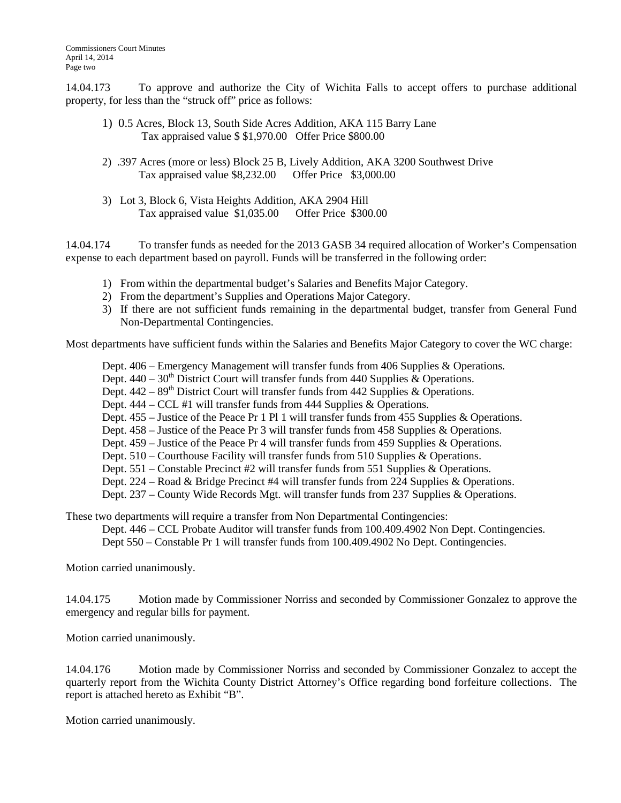14.04.173 To approve and authorize the City of Wichita Falls to accept offers to purchase additional property, for less than the "struck off" price as follows:

- 1) 0.5 Acres, Block 13, South Side Acres Addition, AKA 115 Barry Lane Tax appraised value \$ \$1,970.00 Offer Price \$800.00
- 2) .397 Acres (more or less) Block 25 B, Lively Addition, AKA 3200 Southwest Drive Tax appraised value \$8,232.00 Offer Price \$3,000.00
- 3) Lot 3, Block 6, Vista Heights Addition, AKA 2904 Hill Tax appraised value \$1,035.00 Offer Price \$300.00

14.04.174 To transfer funds as needed for the 2013 GASB 34 required allocation of Worker's Compensation expense to each department based on payroll. Funds will be transferred in the following order:

- 1) From within the departmental budget's Salaries and Benefits Major Category.
- 2) From the department's Supplies and Operations Major Category.
- 3) If there are not sufficient funds remaining in the departmental budget, transfer from General Fund Non-Departmental Contingencies.

Most departments have sufficient funds within the Salaries and Benefits Major Category to cover the WC charge:

- Dept. 406 Emergency Management will transfer funds from 406 Supplies & Operations.
- Dept.  $440 30<sup>th</sup>$  District Court will transfer funds from 440 Supplies & Operations.
- Dept.  $442 89<sup>th</sup>$  District Court will transfer funds from 442 Supplies & Operations.
- Dept. 444 CCL #1 will transfer funds from 444 Supplies & Operations.
- Dept. 455 Justice of the Peace Pr 1 Pl 1 will transfer funds from 455 Supplies & Operations.
- Dept. 458 Justice of the Peace Pr 3 will transfer funds from 458 Supplies & Operations.
- Dept. 459 Justice of the Peace Pr 4 will transfer funds from 459 Supplies & Operations.
- Dept. 510 Courthouse Facility will transfer funds from 510 Supplies & Operations.
- Dept. 551 Constable Precinct #2 will transfer funds from 551 Supplies & Operations.
- Dept. 224 Road & Bridge Precinct #4 will transfer funds from 224 Supplies & Operations.
- Dept. 237 County Wide Records Mgt. will transfer funds from 237 Supplies & Operations.

These two departments will require a transfer from Non Departmental Contingencies:

Dept. 446 – CCL Probate Auditor will transfer funds from 100.409.4902 Non Dept. Contingencies.

Dept 550 – Constable Pr 1 will transfer funds from 100.409.4902 No Dept. Contingencies.

Motion carried unanimously.

14.04.175 Motion made by Commissioner Norriss and seconded by Commissioner Gonzalez to approve the emergency and regular bills for payment.

Motion carried unanimously.

14.04.176 Motion made by Commissioner Norriss and seconded by Commissioner Gonzalez to accept the quarterly report from the Wichita County District Attorney's Office regarding bond forfeiture collections. The report is attached hereto as Exhibit "B".

Motion carried unanimously.